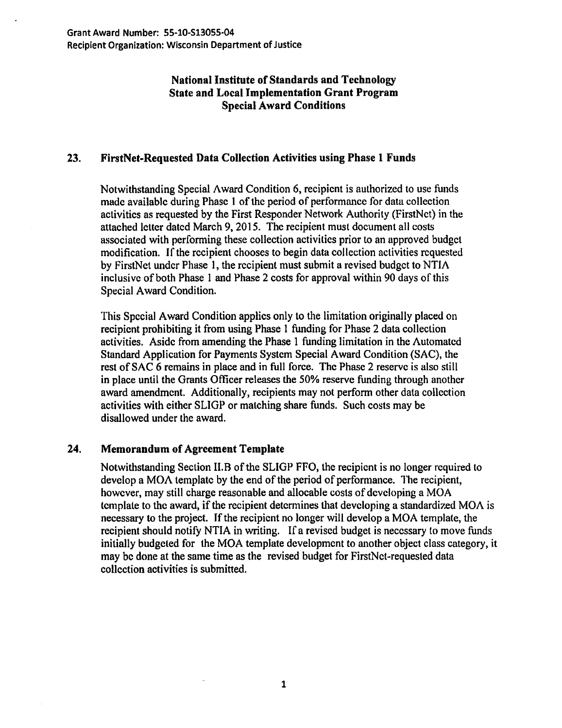## National Institute of Standards and Technology State and Local Implementation Grant Program Special Award Conditions

## 23. FirstNet·Requested Data Collection Activities using Phase 1 Funds

Notwithstanding Special Award Condition 6, recipient is authorized to use funds made available during Phase 1 of the period of performance for data collection activities as requested by the First Responder Network Authority (FirstNct) in the attached letter dated March 9, 2015. The recipient must document all costs associated with performing these collection activities prior to an approved budget modification. If the recipient chooses to begin data collection activities requested by FirstNet under Phase 1, the recipient must submit a revised budget to NTIA inclusive of both Phase 1 and Phase 2 costs for approval within 90 days of this Special Award Condition.

This Special Award Condition applies only to the limitation originally placed on recipient prohibiting it from using Phase 1 funding for Phase 2 data collection activities. Aside from amending the Phase 1 funding limitation in the Automated Standard Application for Payments System Special Award Condition (SAC), the rest of SAC 6 remains in place and in full force. The Phase 2 reserve is also still in place until the Grants Officer releases the 50% reserve funding through another award amendment. Additionally, recipients may not perform other data collection activities with either SLIGP or matching share funds. Such costs may be disallowed under the award.

## 24. Memorandum of Agreement Template

Notwithstanding Section II.B of the SLIGP FFO, the recipient is no longer required to develop a MOA template by the end of the period of performance. The recipient, however, may still charge reasonable and allocable costs of developing a MOA template to the award, if the recipient determines that developing a standardized MOA is necessary to the project. If the recipient no longer will develop a MOA template, the recipient should notify NTIA in writing. If a revised budget is necessary to move funds initially budgeted for the MOA template development to another object class category, it may be done at the same time as the revised budget for FirstNct-requested data collection activities is submitted.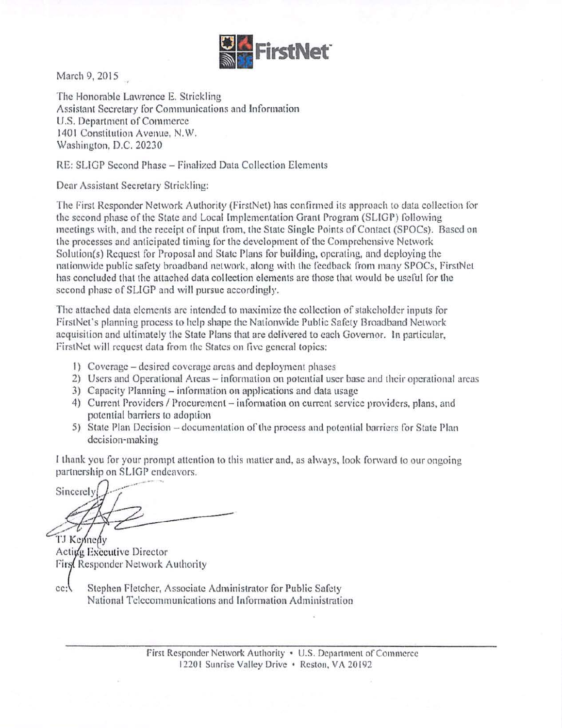

March 9, 2015

The Honorable Lawrence E. Strickling Assistant Secretary for Communications and Information U.S. Department of Commerce 1401 Constitution Avenue, N.W. Washington, D.C. 20230

RE: SLIGP Second Phase - Finalized Data Collection Elements

Dear Assistant Secretary Strickling:

The first Responder Network Authority (firstNet) hns confirmed its approach to data collection for the second phase of the State and Local Implementation Grant Program (SUGP) following meetings with, and the receipt of input from, the State Single Points of Contact (SPOCs). Based on the processes and anticipated timing for the development of the Comprehensive Network Solution{s) Request for Proposal and State Plans for building, operating, and deploying the nationwide public safety broadband network, along with the feedback from many SPOCs, FirstNet has concluded that the attached data collection clements are those that would be useful for the second phase of SLIGP and will pursue accordingly.

The attached data elements arc intended to maximize the collection of stakeholder inputs for FirstNct's planning process to help shape the Nationwide Public Safety Broadband Network acquisition and ultimately the State Plans that arc delivered to each Governor. In particular, FirstNet will request data from the States on five general topics:

- 1) Coverage desired coverage areas and deployment phases
- 2) Users and Operational Areas- information on potential user base and their operational areas
- 3) Capacity Planning- information on applications and data usage
- 4) Current Providers / Procurement information on current service providers, plans, and potential barriers to adoption
- 5) State Plan Decision documentation of the process and potential barriers for State Plan decision-making

I thank you for your prompt attention to this matter and. as always, look forward to our ongoing partnership on SLIGP endeavors.

Sincerel<sup>®</sup> TJ Kennedy

Activa Executive Director **First Responder Network Authority** 

cc: Stephen Fletcher, Associate Administrator for Public Safety National Telecommunications and Information Administration